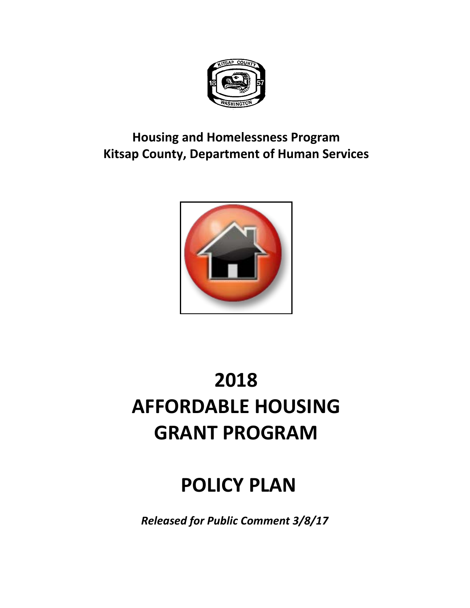

# **Housing and Homelessness Program Kitsap County, Department of Human Services**



# **2018 AFFORDABLE HOUSING GRANT PROGRAM**

# **POLICY PLAN**

*Released for Public Comment 3/8/17*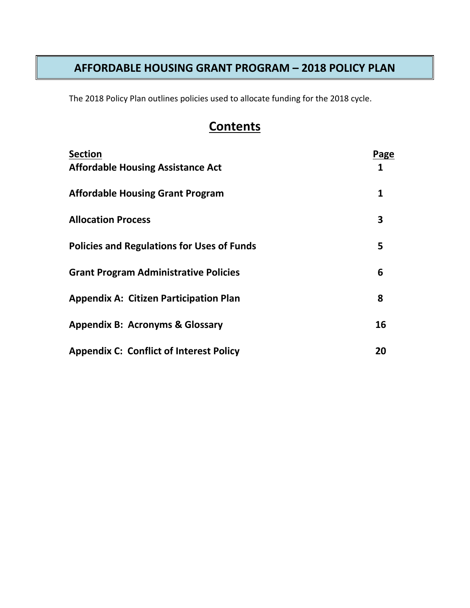# **AFFORDABLE HOUSING GRANT PROGRAM – 2018 POLICY PLAN**

The 2018 Policy Plan outlines policies used to allocate funding for the 2018 cycle.

# **Contents**

| <b>Section</b>                                    | Page |
|---------------------------------------------------|------|
| <b>Affordable Housing Assistance Act</b>          | 1    |
| <b>Affordable Housing Grant Program</b>           | 1    |
| <b>Allocation Process</b>                         | 3    |
| <b>Policies and Regulations for Uses of Funds</b> | 5    |
| <b>Grant Program Administrative Policies</b>      | 6    |
| <b>Appendix A: Citizen Participation Plan</b>     | 8    |
| <b>Appendix B: Acronyms &amp; Glossary</b>        | 16   |
| <b>Appendix C: Conflict of Interest Policy</b>    | 20   |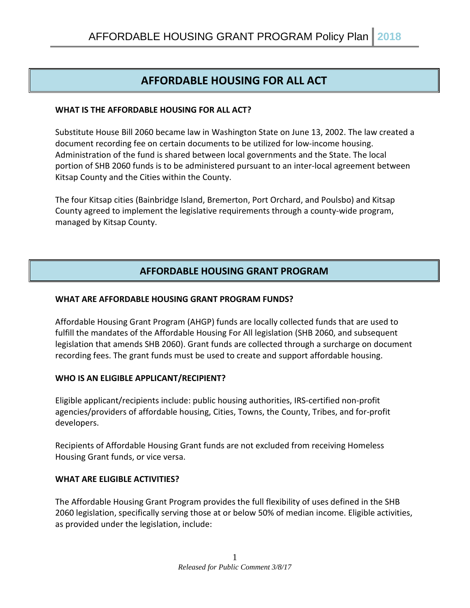# **AFFORDABLE HOUSING FOR ALL ACT**

#### **WHAT IS THE AFFORDABLE HOUSING FOR ALL ACT?**

Substitute House Bill 2060 became law in Washington State on June 13, 2002. The law created a document recording fee on certain documents to be utilized for low-income housing. Administration of the fund is shared between local governments and the State. The local portion of SHB 2060 funds is to be administered pursuant to an inter-local agreement between Kitsap County and the Cities within the County.

The four Kitsap cities (Bainbridge Island, Bremerton, Port Orchard, and Poulsbo) and Kitsap County agreed to implement the legislative requirements through a county-wide program, managed by Kitsap County.

# **AFFORDABLE HOUSING GRANT PROGRAM**

#### **WHAT ARE AFFORDABLE HOUSING GRANT PROGRAM FUNDS?**

Affordable Housing Grant Program (AHGP) funds are locally collected funds that are used to fulfill the mandates of the Affordable Housing For All legislation (SHB 2060, and subsequent legislation that amends SHB 2060). Grant funds are collected through a surcharge on document recording fees. The grant funds must be used to create and support affordable housing.

#### **WHO IS AN ELIGIBLE APPLICANT/RECIPIENT?**

Eligible applicant/recipients include: public housing authorities, IRS-certified non-profit agencies/providers of affordable housing, Cities, Towns, the County, Tribes, and for-profit developers.

Recipients of Affordable Housing Grant funds are not excluded from receiving Homeless Housing Grant funds, or vice versa.

#### **WHAT ARE ELIGIBLE ACTIVITIES?**

The Affordable Housing Grant Program provides the full flexibility of uses defined in the SHB 2060 legislation, specifically serving those at or below 50% of median income. Eligible activities, as provided under the legislation, include: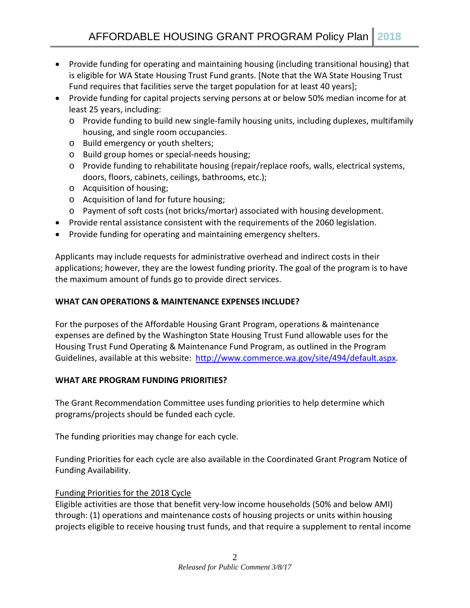- Provide funding for operating and maintaining housing (including transitional housing) that is eligible for WA State Housing Trust Fund grants. [Note that the WA State Housing Trust Fund requires that facilities serve the target population for at least 40 years];
- Provide funding for capital projects serving persons at or below 50% median income for at least 25 years, including:
	- o Provide funding to build new single-family housing units, including duplexes, multifamily housing, and single room occupancies.
	- o Build emergency or youth shelters;
	- o Build group homes or special-needs housing;
	- o Provide funding to rehabilitate housing (repair/replace roofs, walls, electrical systems, doors, floors, cabinets, ceilings, bathrooms, etc.);
	- o Acquisition of housing;
	- o Acquisition of land for future housing;
	- o Payment of soft costs (not bricks/mortar) associated with housing development.
- Provide rental assistance consistent with the requirements of the 2060 legislation.
- Provide funding for operating and maintaining emergency shelters.

Applicants may include requests for administrative overhead and indirect costs in their applications; however, they are the lowest funding priority. The goal of the program is to have the maximum amount of funds go to provide direct services.

#### **WHAT CAN OPERATIONS & MAINTENANCE EXPENSES INCLUDE?**

For the purposes of the Affordable Housing Grant Program, operations & maintenance expenses are defined by the Washington State Housing Trust Fund allowable uses for the Housing Trust Fund Operating & Maintenance Fund Program, as outlined in the Program Guidelines, available at this website: [http://www.commerce.wa.gov/site/494/default.aspx.](http://www.commerce.wa.gov/site/494/default.aspx)

#### **WHAT ARE PROGRAM FUNDING PRIORITIES?**

The Grant Recommendation Committee uses funding priorities to help determine which programs/projects should be funded each cycle.

The funding priorities may change for each cycle.

Funding Priorities for each cycle are also available in the Coordinated Grant Program Notice of Funding Availability.

# Funding Priorities for the 2018 Cycle

Eligible activities are those that benefit very-low income households (50% and below AMI) through: (1) operations and maintenance costs of housing projects or units within housing projects eligible to receive housing trust funds, and that require a supplement to rental income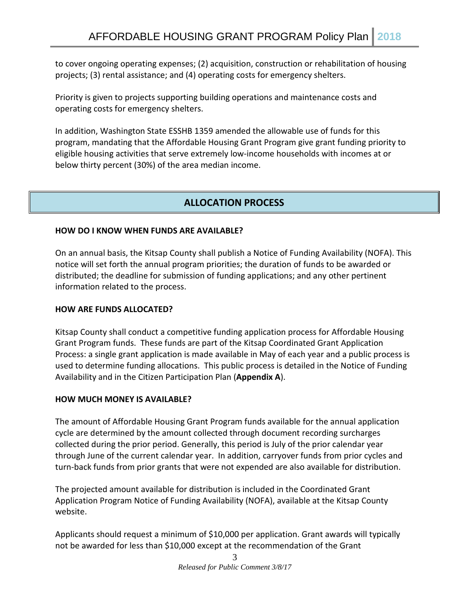to cover ongoing operating expenses; (2) acquisition, construction or rehabilitation of housing projects; (3) rental assistance; and (4) operating costs for emergency shelters.

Priority is given to projects supporting building operations and maintenance costs and operating costs for emergency shelters.

In addition, Washington State ESSHB 1359 amended the allowable use of funds for this program, mandating that the Affordable Housing Grant Program give grant funding priority to eligible housing activities that serve extremely low-income households with incomes at or below thirty percent (30%) of the area median income.

# **ALLOCATION PROCESS**

#### **HOW DO I KNOW WHEN FUNDS ARE AVAILABLE?**

On an annual basis, the Kitsap County shall publish a Notice of Funding Availability (NOFA). This notice will set forth the annual program priorities; the duration of funds to be awarded or distributed; the deadline for submission of funding applications; and any other pertinent information related to the process.

#### **HOW ARE FUNDS ALLOCATED?**

Kitsap County shall conduct a competitive funding application process for Affordable Housing Grant Program funds. These funds are part of the Kitsap Coordinated Grant Application Process: a single grant application is made available in May of each year and a public process is used to determine funding allocations. This public process is detailed in the Notice of Funding Availability and in the Citizen Participation Plan (**Appendix A**).

#### **HOW MUCH MONEY IS AVAILABLE?**

The amount of Affordable Housing Grant Program funds available for the annual application cycle are determined by the amount collected through document recording surcharges collected during the prior period. Generally, this period is July of the prior calendar year through June of the current calendar year. In addition, carryover funds from prior cycles and turn-back funds from prior grants that were not expended are also available for distribution.

The projected amount available for distribution is included in the Coordinated Grant Application Program Notice of Funding Availability (NOFA), available at the Kitsap County website.

Applicants should request a minimum of \$10,000 per application. Grant awards will typically not be awarded for less than \$10,000 except at the recommendation of the Grant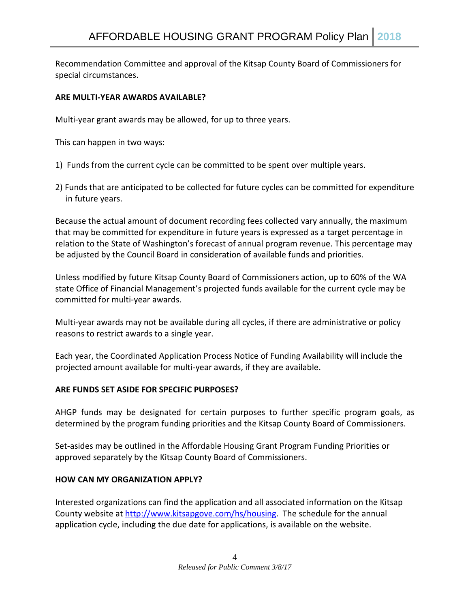Recommendation Committee and approval of the Kitsap County Board of Commissioners for special circumstances.

#### **ARE MULTI-YEAR AWARDS AVAILABLE?**

Multi-year grant awards may be allowed, for up to three years.

This can happen in two ways:

- 1) Funds from the current cycle can be committed to be spent over multiple years.
- 2) Funds that are anticipated to be collected for future cycles can be committed for expenditure in future years.

Because the actual amount of document recording fees collected vary annually, the maximum that may be committed for expenditure in future years is expressed as a target percentage in relation to the State of Washington's forecast of annual program revenue. This percentage may be adjusted by the Council Board in consideration of available funds and priorities.

Unless modified by future Kitsap County Board of Commissioners action, up to 60% of the WA state Office of Financial Management's projected funds available for the current cycle may be committed for multi-year awards.

Multi-year awards may not be available during all cycles, if there are administrative or policy reasons to restrict awards to a single year.

Each year, the Coordinated Application Process Notice of Funding Availability will include the projected amount available for multi-year awards, if they are available.

#### **ARE FUNDS SET ASIDE FOR SPECIFIC PURPOSES?**

AHGP funds may be designated for certain purposes to further specific program goals, as determined by the program funding priorities and the Kitsap County Board of Commissioners.

Set-asides may be outlined in the Affordable Housing Grant Program Funding Priorities or approved separately by the Kitsap County Board of Commissioners.

#### **HOW CAN MY ORGANIZATION APPLY?**

Interested organizations can find the application and all associated information on the Kitsap County website at [http://www.kitsapgove.com/hs/housing.](http://www.kitsapgove.com/hs/housing) The schedule for the annual application cycle, including the due date for applications, is available on the website.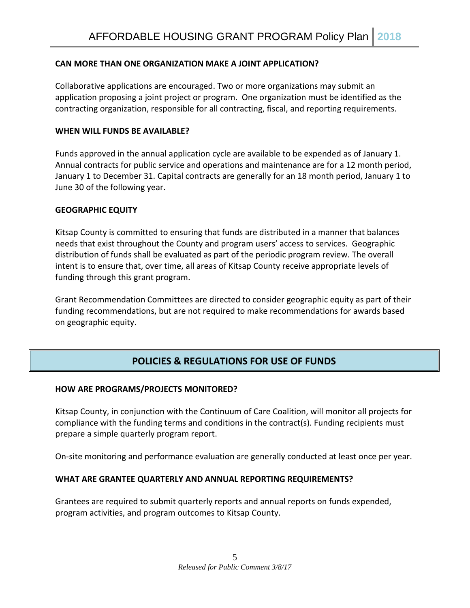#### **CAN MORE THAN ONE ORGANIZATION MAKE A JOINT APPLICATION?**

Collaborative applications are encouraged. Two or more organizations may submit an application proposing a joint project or program. One organization must be identified as the contracting organization, responsible for all contracting, fiscal, and reporting requirements.

#### **WHEN WILL FUNDS BE AVAILABLE?**

Funds approved in the annual application cycle are available to be expended as of January 1. Annual contracts for public service and operations and maintenance are for a 12 month period, January 1 to December 31. Capital contracts are generally for an 18 month period, January 1 to June 30 of the following year.

#### **GEOGRAPHIC EQUITY**

Kitsap County is committed to ensuring that funds are distributed in a manner that balances needs that exist throughout the County and program users' access to services. Geographic distribution of funds shall be evaluated as part of the periodic program review. The overall intent is to ensure that, over time, all areas of Kitsap County receive appropriate levels of funding through this grant program.

Grant Recommendation Committees are directed to consider geographic equity as part of their funding recommendations, but are not required to make recommendations for awards based on geographic equity.

# **POLICIES & REGULATIONS FOR USE OF FUNDS**

#### **HOW ARE PROGRAMS/PROJECTS MONITORED?**

Kitsap County, in conjunction with the Continuum of Care Coalition, will monitor all projects for compliance with the funding terms and conditions in the contract(s). Funding recipients must prepare a simple quarterly program report.

On-site monitoring and performance evaluation are generally conducted at least once per year.

#### **WHAT ARE GRANTEE QUARTERLY AND ANNUAL REPORTING REQUIREMENTS?**

Grantees are required to submit quarterly reports and annual reports on funds expended, program activities, and program outcomes to Kitsap County.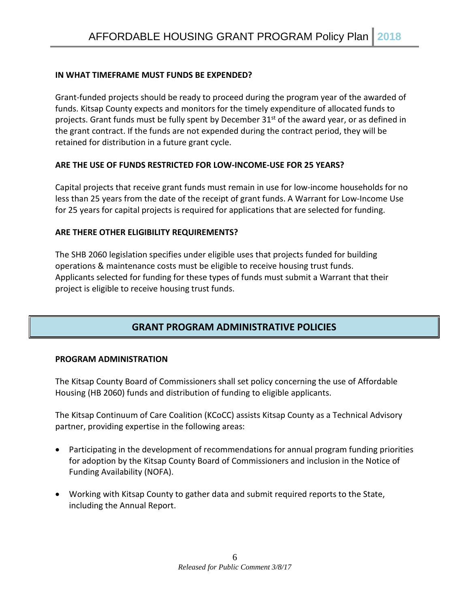#### **IN WHAT TIMEFRAME MUST FUNDS BE EXPENDED?**

Grant-funded projects should be ready to proceed during the program year of the awarded of funds. Kitsap County expects and monitors for the timely expenditure of allocated funds to projects. Grant funds must be fully spent by December  $31<sup>st</sup>$  of the award year, or as defined in the grant contract. If the funds are not expended during the contract period, they will be retained for distribution in a future grant cycle.

#### **ARE THE USE OF FUNDS RESTRICTED FOR LOW-INCOME-USE FOR 25 YEARS?**

Capital projects that receive grant funds must remain in use for low-income households for no less than 25 years from the date of the receipt of grant funds. A Warrant for Low-Income Use for 25 years for capital projects is required for applications that are selected for funding.

#### **ARE THERE OTHER ELIGIBILITY REQUIREMENTS?**

The SHB 2060 legislation specifies under eligible uses that projects funded for building operations & maintenance costs must be eligible to receive housing trust funds. Applicants selected for funding for these types of funds must submit a Warrant that their project is eligible to receive housing trust funds.

# **GRANT PROGRAM ADMINISTRATIVE POLICIES**

#### **PROGRAM ADMINISTRATION**

The Kitsap County Board of Commissioners shall set policy concerning the use of Affordable Housing (HB 2060) funds and distribution of funding to eligible applicants.

The Kitsap Continuum of Care Coalition (KCoCC) assists Kitsap County as a Technical Advisory partner, providing expertise in the following areas:

- Participating in the development of recommendations for annual program funding priorities for adoption by the Kitsap County Board of Commissioners and inclusion in the Notice of Funding Availability (NOFA).
- Working with Kitsap County to gather data and submit required reports to the State, including the Annual Report.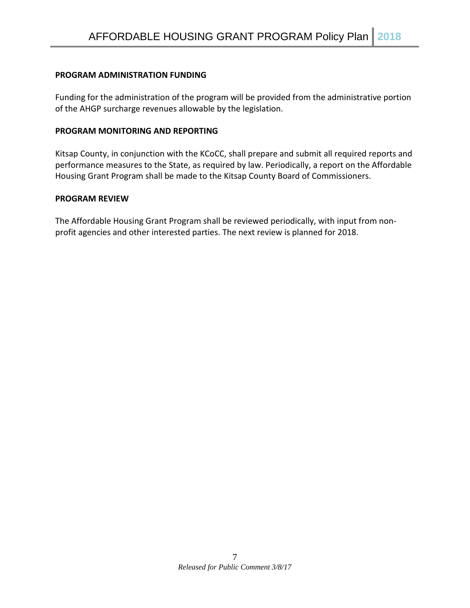#### **PROGRAM ADMINISTRATION FUNDING**

Funding for the administration of the program will be provided from the administrative portion of the AHGP surcharge revenues allowable by the legislation.

#### **PROGRAM MONITORING AND REPORTING**

Kitsap County, in conjunction with the KCoCC, shall prepare and submit all required reports and performance measures to the State, as required by law. Periodically, a report on the Affordable Housing Grant Program shall be made to the Kitsap County Board of Commissioners.

#### **PROGRAM REVIEW**

The Affordable Housing Grant Program shall be reviewed periodically, with input from nonprofit agencies and other interested parties. The next review is planned for 2018.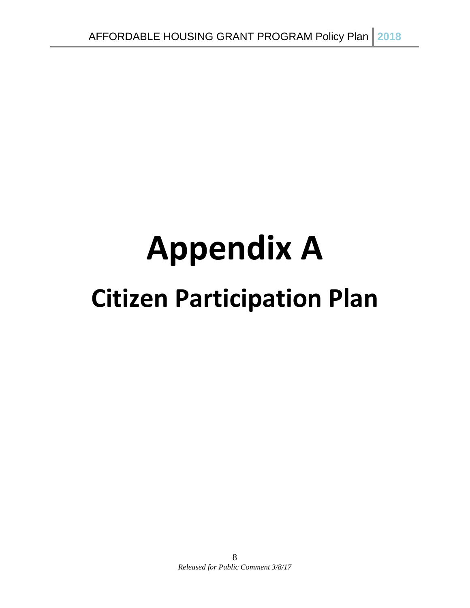# **Appendix A Citizen Participation Plan**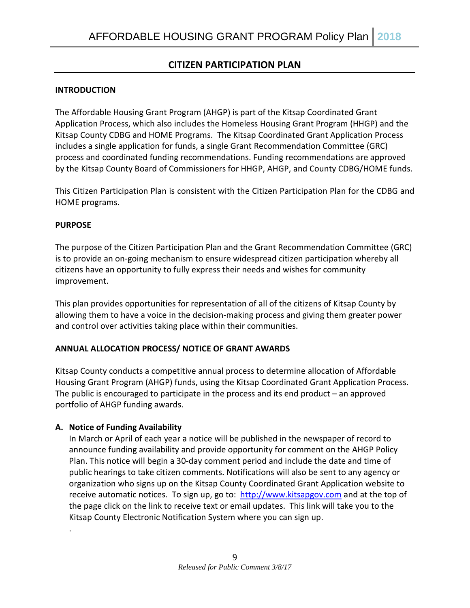# **CITIZEN PARTICIPATION PLAN**

#### **INTRODUCTION**

The Affordable Housing Grant Program (AHGP) is part of the Kitsap Coordinated Grant Application Process, which also includes the Homeless Housing Grant Program (HHGP) and the Kitsap County CDBG and HOME Programs. The Kitsap Coordinated Grant Application Process includes a single application for funds, a single Grant Recommendation Committee (GRC) process and coordinated funding recommendations. Funding recommendations are approved by the Kitsap County Board of Commissioners for HHGP, AHGP, and County CDBG/HOME funds.

This Citizen Participation Plan is consistent with the Citizen Participation Plan for the CDBG and HOME programs.

#### **PURPOSE**

.

The purpose of the Citizen Participation Plan and the Grant Recommendation Committee (GRC) is to provide an on-going mechanism to ensure widespread citizen participation whereby all citizens have an opportunity to fully express their needs and wishes for community improvement.

This plan provides opportunities for representation of all of the citizens of Kitsap County by allowing them to have a voice in the decision-making process and giving them greater power and control over activities taking place within their communities.

#### **ANNUAL ALLOCATION PROCESS/ NOTICE OF GRANT AWARDS**

Kitsap County conducts a competitive annual process to determine allocation of Affordable Housing Grant Program (AHGP) funds, using the Kitsap Coordinated Grant Application Process. The public is encouraged to participate in the process and its end product – an approved portfolio of AHGP funding awards.

#### **A. Notice of Funding Availability**

In March or April of each year a notice will be published in the newspaper of record to announce funding availability and provide opportunity for comment on the AHGP Policy Plan. This notice will begin a 30-day comment period and include the date and time of public hearings to take citizen comments. Notifications will also be sent to any agency or organization who signs up on the Kitsap County Coordinated Grant Application website to receive automatic notices. To sign up, go to: [http://www.kitsapgov.com](http://www.kitsapgov.com/hs/housing) and at the top of the page click on the link to receive text or email updates. This link will take you to the Kitsap County Electronic Notification System where you can sign up.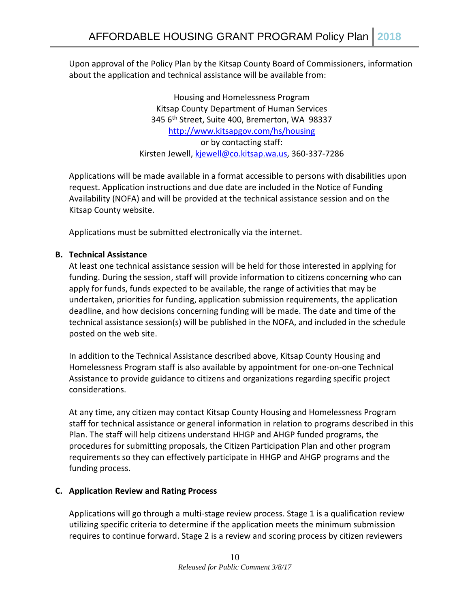Upon approval of the Policy Plan by the Kitsap County Board of Commissioners, information about the application and technical assistance will be available from:

> Housing and Homelessness Program Kitsap County Department of Human Services 345 6th Street, Suite 400, Bremerton, WA 98337 <http://www.kitsapgov.com/hs/housing> or by contacting staff: Kirsten Jewell, [kjewell@co.kitsap.wa.us,](mailto:kjewell@co.kitsap.wa.us) 360-337-7286

Applications will be made available in a format accessible to persons with disabilities upon request. Application instructions and due date are included in the Notice of Funding Availability (NOFA) and will be provided at the technical assistance session and on the Kitsap County website.

Applications must be submitted electronically via the internet.

#### **B. Technical Assistance**

At least one technical assistance session will be held for those interested in applying for funding. During the session, staff will provide information to citizens concerning who can apply for funds, funds expected to be available, the range of activities that may be undertaken, priorities for funding, application submission requirements, the application deadline, and how decisions concerning funding will be made. The date and time of the technical assistance session(s) will be published in the NOFA, and included in the schedule posted on the web site.

In addition to the Technical Assistance described above, Kitsap County Housing and Homelessness Program staff is also available by appointment for one-on-one Technical Assistance to provide guidance to citizens and organizations regarding specific project considerations.

At any time, any citizen may contact Kitsap County Housing and Homelessness Program staff for technical assistance or general information in relation to programs described in this Plan. The staff will help citizens understand HHGP and AHGP funded programs, the procedures for submitting proposals, the Citizen Participation Plan and other program requirements so they can effectively participate in HHGP and AHGP programs and the funding process.

#### **C. Application Review and Rating Process**

Applications will go through a multi-stage review process. Stage 1 is a qualification review utilizing specific criteria to determine if the application meets the minimum submission requires to continue forward. Stage 2 is a review and scoring process by citizen reviewers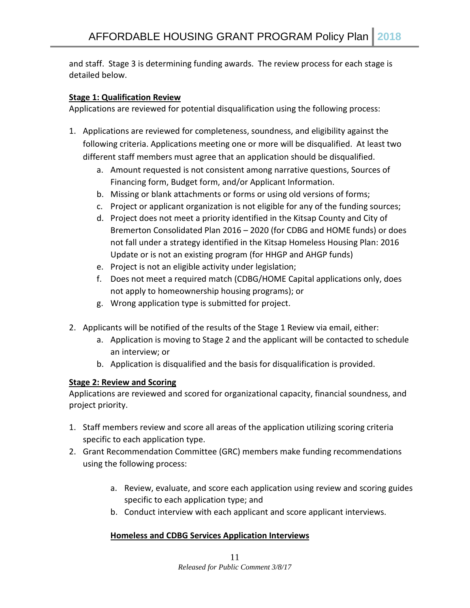and staff. Stage 3 is determining funding awards. The review process for each stage is detailed below.

#### **Stage 1: Qualification Review**

Applications are reviewed for potential disqualification using the following process:

- 1. Applications are reviewed for completeness, soundness, and eligibility against the following criteria. Applications meeting one or more will be disqualified. At least two different staff members must agree that an application should be disqualified.
	- a. Amount requested is not consistent among narrative questions, Sources of Financing form, Budget form, and/or Applicant Information.
	- b. Missing or blank attachments or forms or using old versions of forms;
	- c. Project or applicant organization is not eligible for any of the funding sources;
	- d. Project does not meet a priority identified in the Kitsap County and City of Bremerton Consolidated Plan 2016 – 2020 (for CDBG and HOME funds) or does not fall under a strategy identified in the Kitsap Homeless Housing Plan: 2016 Update or is not an existing program (for HHGP and AHGP funds)
	- e. Project is not an eligible activity under legislation;
	- f. Does not meet a required match (CDBG/HOME Capital applications only, does not apply to homeownership housing programs); or
	- g. Wrong application type is submitted for project.
- 2. Applicants will be notified of the results of the Stage 1 Review via email, either:
	- a. Application is moving to Stage 2 and the applicant will be contacted to schedule an interview; or
	- b. Application is disqualified and the basis for disqualification is provided.

#### **Stage 2: Review and Scoring**

Applications are reviewed and scored for organizational capacity, financial soundness, and project priority.

- 1. Staff members review and score all areas of the application utilizing scoring criteria specific to each application type.
- 2. Grant Recommendation Committee (GRC) members make funding recommendations using the following process:
	- a. Review, evaluate, and score each application using review and scoring guides specific to each application type; and
	- b. Conduct interview with each applicant and score applicant interviews.

#### **Homeless and CDBG Services Application Interviews**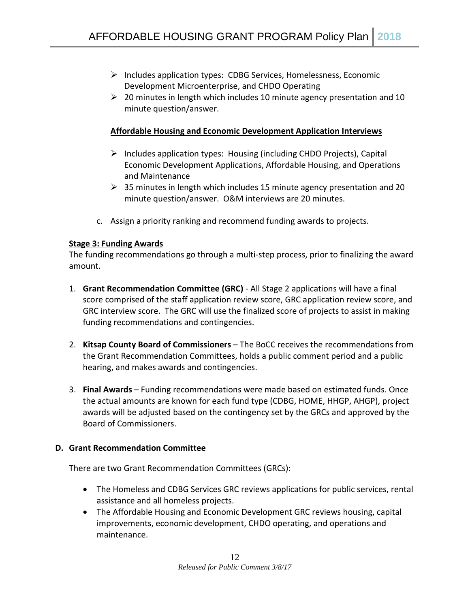- $\triangleright$  Includes application types: CDBG Services, Homelessness, Economic Development Microenterprise, and CHDO Operating
- $\geq$  20 minutes in length which includes 10 minute agency presentation and 10 minute question/answer.

#### **Affordable Housing and Economic Development Application Interviews**

- $\triangleright$  Includes application types: Housing (including CHDO Projects), Capital Economic Development Applications, Affordable Housing, and Operations and Maintenance
- $\geq$  35 minutes in length which includes 15 minute agency presentation and 20 minute question/answer. O&M interviews are 20 minutes.
- c. Assign a priority ranking and recommend funding awards to projects.

#### **Stage 3: Funding Awards**

The funding recommendations go through a multi-step process, prior to finalizing the award amount.

- 1. **Grant Recommendation Committee (GRC)**  All Stage 2 applications will have a final score comprised of the staff application review score, GRC application review score, and GRC interview score. The GRC will use the finalized score of projects to assist in making funding recommendations and contingencies.
- 2. **Kitsap County Board of Commissioners** The BoCC receives the recommendations from the Grant Recommendation Committees, holds a public comment period and a public hearing, and makes awards and contingencies.
- 3. **Final Awards** Funding recommendations were made based on estimated funds. Once the actual amounts are known for each fund type (CDBG, HOME, HHGP, AHGP), project awards will be adjusted based on the contingency set by the GRCs and approved by the Board of Commissioners.

#### **D. Grant Recommendation Committee**

There are two Grant Recommendation Committees (GRCs):

- The Homeless and CDBG Services GRC reviews applications for public services, rental assistance and all homeless projects.
- The Affordable Housing and Economic Development GRC reviews housing, capital improvements, economic development, CHDO operating, and operations and maintenance.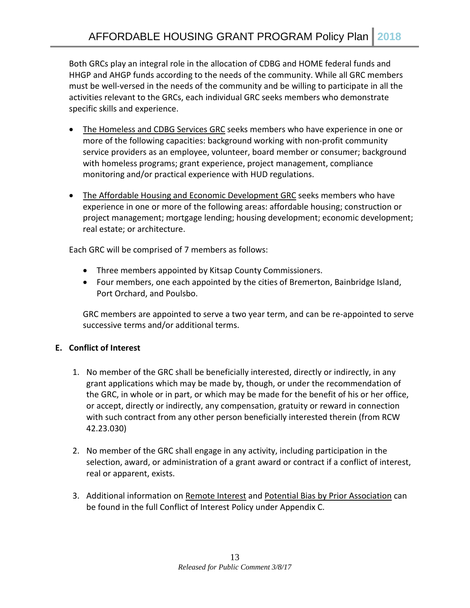Both GRCs play an integral role in the allocation of CDBG and HOME federal funds and HHGP and AHGP funds according to the needs of the community. While all GRC members must be well-versed in the needs of the community and be willing to participate in all the activities relevant to the GRCs, each individual GRC seeks members who demonstrate specific skills and experience.

- The Homeless and CDBG Services GRC seeks members who have experience in one or more of the following capacities: background working with non-profit community service providers as an employee, volunteer, board member or consumer; background with homeless programs; grant experience, project management, compliance monitoring and/or practical experience with HUD regulations.
- The Affordable Housing and Economic Development GRC seeks members who have experience in one or more of the following areas: affordable housing; construction or project management; mortgage lending; housing development; economic development; real estate; or architecture.

Each GRC will be comprised of 7 members as follows:

- Three members appointed by Kitsap County Commissioners.
- Four members, one each appointed by the cities of Bremerton, Bainbridge Island, Port Orchard, and Poulsbo.

GRC members are appointed to serve a two year term, and can be re-appointed to serve successive terms and/or additional terms.

# **E. Conflict of Interest**

- 1. No member of the GRC shall be beneficially interested, directly or indirectly, in any grant applications which may be made by, though, or under the recommendation of the GRC, in whole or in part, or which may be made for the benefit of his or her office, or accept, directly or indirectly, any compensation, gratuity or reward in connection with such contract from any other person beneficially interested therein (from RCW 42.23.030)
- 2. No member of the GRC shall engage in any activity, including participation in the selection, award, or administration of a grant award or contract if a conflict of interest, real or apparent, exists.
- 3. Additional information on Remote Interest and Potential Bias by Prior Association can be found in the full Conflict of Interest Policy under Appendix C.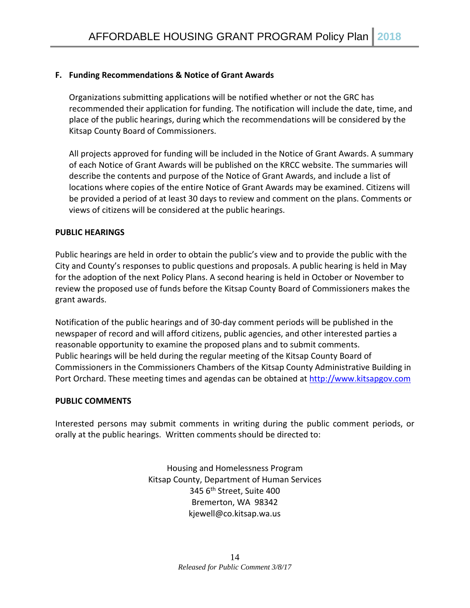#### **F. Funding Recommendations & Notice of Grant Awards**

Organizations submitting applications will be notified whether or not the GRC has recommended their application for funding. The notification will include the date, time, and place of the public hearings, during which the recommendations will be considered by the Kitsap County Board of Commissioners.

All projects approved for funding will be included in the Notice of Grant Awards. A summary of each Notice of Grant Awards will be published on the KRCC website. The summaries will describe the contents and purpose of the Notice of Grant Awards, and include a list of locations where copies of the entire Notice of Grant Awards may be examined. Citizens will be provided a period of at least 30 days to review and comment on the plans. Comments or views of citizens will be considered at the public hearings.

#### **PUBLIC HEARINGS**

Public hearings are held in order to obtain the public's view and to provide the public with the City and County's responses to public questions and proposals. A public hearing is held in May for the adoption of the next Policy Plans. A second hearing is held in October or November to review the proposed use of funds before the Kitsap County Board of Commissioners makes the grant awards.

Notification of the public hearings and of 30-day comment periods will be published in the newspaper of record and will afford citizens, public agencies, and other interested parties a reasonable opportunity to examine the proposed plans and to submit comments. Public hearings will be held during the regular meeting of the Kitsap County Board of Commissioners in the Commissioners Chambers of the Kitsap County Administrative Building in Port Orchard. These meeting times and agendas can be obtained at [http://www.kitsapgov.com](http://www.kitsapgov.com/)

#### **PUBLIC COMMENTS**

Interested persons may submit comments in writing during the public comment periods, or orally at the public hearings. Written comments should be directed to:

> Housing and Homelessness Program Kitsap County, Department of Human Services 345 6<sup>th</sup> Street, Suite 400 Bremerton, WA 98342 kjewell@co.kitsap.wa.us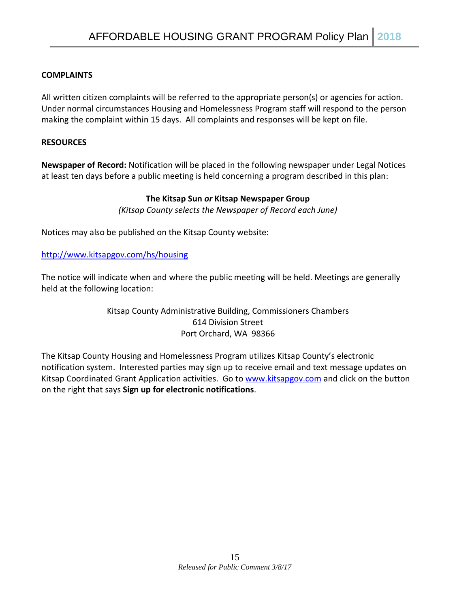#### **COMPLAINTS**

All written citizen complaints will be referred to the appropriate person(s) or agencies for action. Under normal circumstances Housing and Homelessness Program staff will respond to the person making the complaint within 15 days. All complaints and responses will be kept on file.

#### **RESOURCES**

**Newspaper of Record:** Notification will be placed in the following newspaper under Legal Notices at least ten days before a public meeting is held concerning a program described in this plan:

#### **The Kitsap Sun** *or* **Kitsap Newspaper Group**

*(Kitsap County selects the Newspaper of Record each June)*

Notices may also be published on the Kitsap County website:

<http://www.kitsapgov.com/hs/housing>

The notice will indicate when and where the public meeting will be held. Meetings are generally held at the following location:

#### Kitsap County Administrative Building, Commissioners Chambers 614 Division Street Port Orchard, WA 98366

The Kitsap County Housing and Homelessness Program utilizes Kitsap County's electronic notification system. Interested parties may sign up to receive email and text message updates on Kitsap Coordinated Grant Application activities. Go t[o www.kitsapgov.com](http://www.kitsapgov.com/) and click on the button on the right that says **Sign up for electronic notifications**.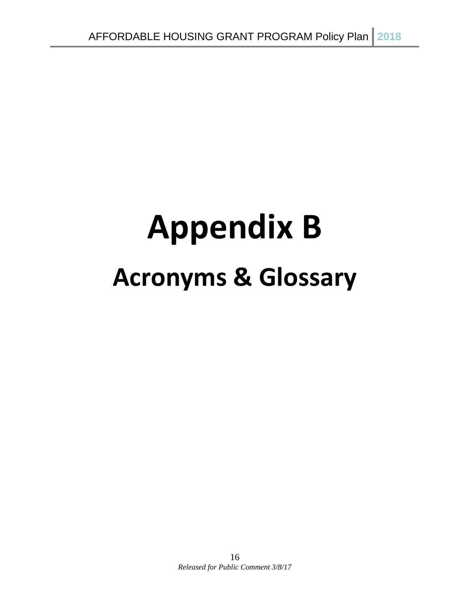# **Appendix B Acronyms & Glossary**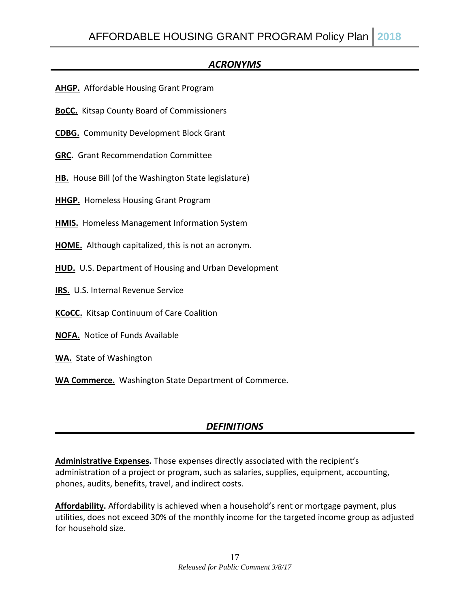# *ACRONYMS*

- **AHGP.** Affordable Housing Grant Program
- **BoCC.** Kitsap County Board of Commissioners
- **CDBG.** Community Development Block Grant
- **GRC.** Grant Recommendation Committee
- **HB.** House Bill (of the Washington State legislature)
- **HHGP.** Homeless Housing Grant Program
- **HMIS.** Homeless Management Information System
- **HOME.** Although capitalized, this is not an acronym.
- **HUD.** U.S. Department of Housing and Urban Development
- **IRS.** U.S. Internal Revenue Service
- **KCoCC.** Kitsap Continuum of Care Coalition
- **NOFA.** Notice of Funds Available
- **WA.** State of Washington
- **WA Commerce.** Washington State Department of Commerce.

# *DEFINITIONS*

**Administrative Expenses.** Those expenses directly associated with the recipient's administration of a project or program, such as salaries, supplies, equipment, accounting, phones, audits, benefits, travel, and indirect costs.

**Affordability.** Affordability is achieved when a household's rent or mortgage payment, plus utilities, does not exceed 30% of the monthly income for the targeted income group as adjusted for household size.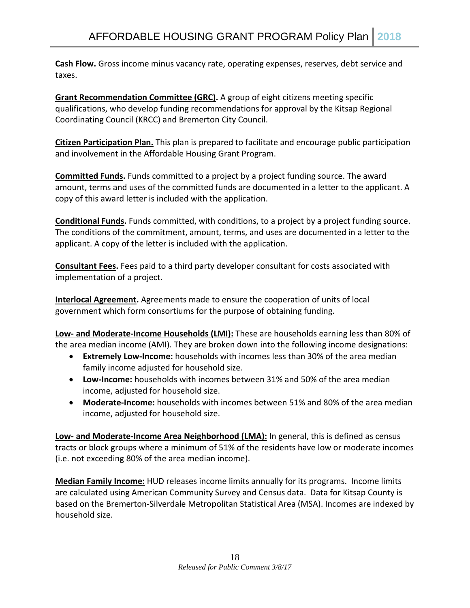**Cash Flow.** Gross income minus vacancy rate, operating expenses, reserves, debt service and taxes.

**Grant Recommendation Committee (GRC).** A group of eight citizens meeting specific qualifications, who develop funding recommendations for approval by the Kitsap Regional Coordinating Council (KRCC) and Bremerton City Council.

**Citizen Participation Plan.** This plan is prepared to facilitate and encourage public participation and involvement in the Affordable Housing Grant Program.

**Committed Funds.** Funds committed to a project by a project funding source. The award amount, terms and uses of the committed funds are documented in a letter to the applicant. A copy of this award letter is included with the application.

**Conditional Funds.** Funds committed, with conditions, to a project by a project funding source. The conditions of the commitment, amount, terms, and uses are documented in a letter to the applicant. A copy of the letter is included with the application.

**Consultant Fees.** Fees paid to a third party developer consultant for costs associated with implementation of a project.

**Interlocal Agreement.** Agreements made to ensure the cooperation of units of local government which form consortiums for the purpose of obtaining funding.

**Low- and Moderate-Income Households (LMI):** These are households earning less than 80% of the area median income (AMI). They are broken down into the following income designations:

- **Extremely Low-Income:** households with incomes less than 30% of the area median family income adjusted for household size.
- **Low-Income:** households with incomes between 31% and 50% of the area median income, adjusted for household size.
- **Moderate-Income:** households with incomes between 51% and 80% of the area median income, adjusted for household size.

**Low- and Moderate-Income Area Neighborhood (LMA):** In general, this is defined as census tracts or block groups where a minimum of 51% of the residents have low or moderate incomes (i.e. not exceeding 80% of the area median income).

**Median Family Income:** HUD releases income limits annually for its programs. Income limits are calculated using American Community Survey and Census data. Data for Kitsap County is based on the Bremerton-Silverdale Metropolitan Statistical Area (MSA). Incomes are indexed by household size.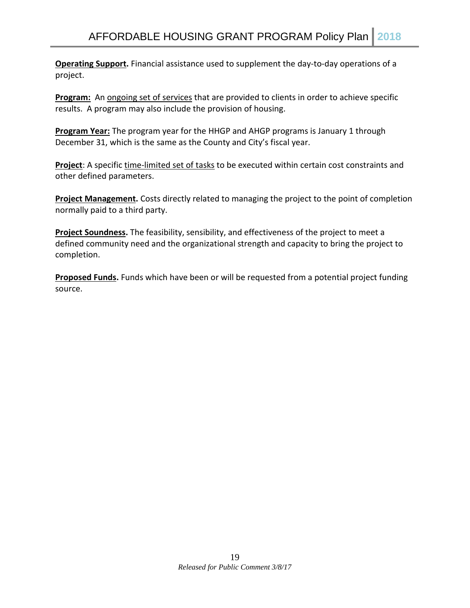**Operating Support.** Financial assistance used to supplement the day-to-day operations of a project.

**Program:** An ongoing set of services that are provided to clients in order to achieve specific results. A program may also include the provision of housing.

**Program Year:** The program year for the HHGP and AHGP programs is January 1 through December 31, which is the same as the County and City's fiscal year.

**Project**: A specific time-limited set of tasks to be executed within certain cost constraints and other defined parameters.

**Project Management.** Costs directly related to managing the project to the point of completion normally paid to a third party.

**Project Soundness.** The feasibility, sensibility, and effectiveness of the project to meet a defined community need and the organizational strength and capacity to bring the project to completion.

**Proposed Funds.** Funds which have been or will be requested from a potential project funding source.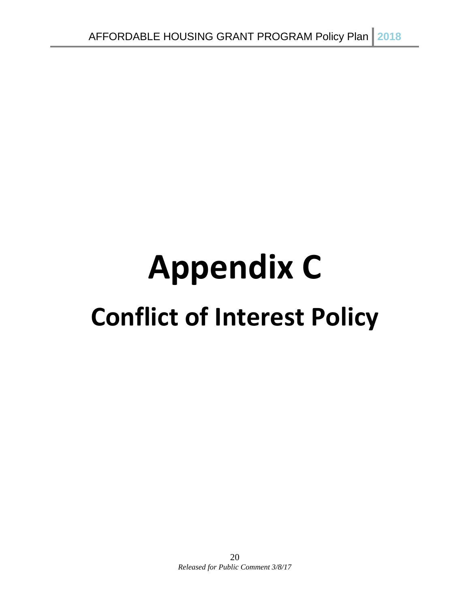# **Appendix C Conflict of Interest Policy**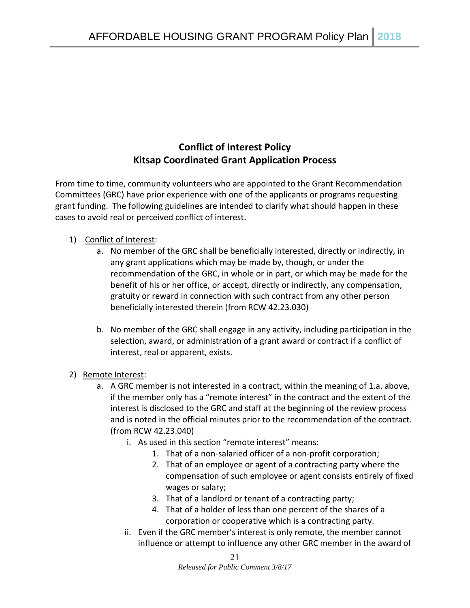# **Conflict of Interest Policy Kitsap Coordinated Grant Application Process**

From time to time, community volunteers who are appointed to the Grant Recommendation Committees (GRC) have prior experience with one of the applicants or programs requesting grant funding. The following guidelines are intended to clarify what should happen in these cases to avoid real or perceived conflict of interest.

#### 1) Conflict of Interest:

- a. No member of the GRC shall be beneficially interested, directly or indirectly, in any grant applications which may be made by, though, or under the recommendation of the GRC, in whole or in part, or which may be made for the benefit of his or her office, or accept, directly or indirectly, any compensation, gratuity or reward in connection with such contract from any other person beneficially interested therein (from RCW 42.23.030)
- b. No member of the GRC shall engage in any activity, including participation in the selection, award, or administration of a grant award or contract if a conflict of interest, real or apparent, exists.
- 2) Remote Interest:
	- a. A GRC member is not interested in a contract, within the meaning of 1.a. above, if the member only has a "remote interest" in the contract and the extent of the interest is disclosed to the GRC and staff at the beginning of the review process and is noted in the official minutes prior to the recommendation of the contract. (from RCW 42.23.040)
		- i. As used in this section "remote interest" means:
			- 1. That of a non-salaried officer of a non-profit corporation;
			- 2. That of an employee or agent of a contracting party where the compensation of such employee or agent consists entirely of fixed wages or salary;
			- 3. That of a landlord or tenant of a contracting party;
			- 4. That of a holder of less than one percent of the shares of a corporation or cooperative which is a contracting party.
		- ii. Even if the GRC member's interest is only remote, the member cannot influence or attempt to influence any other GRC member in the award of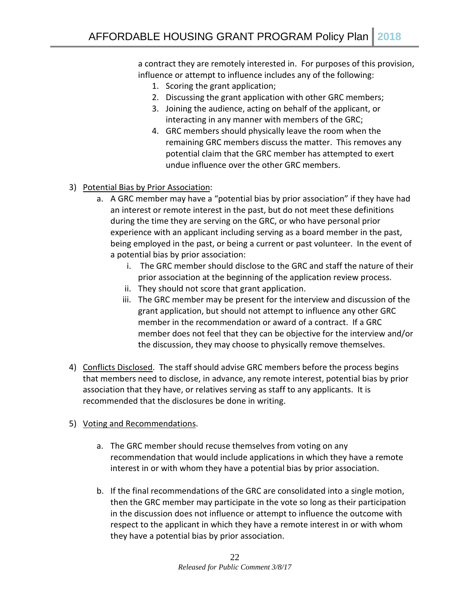a contract they are remotely interested in. For purposes of this provision, influence or attempt to influence includes any of the following:

- 1. Scoring the grant application;
- 2. Discussing the grant application with other GRC members;
- 3. Joining the audience, acting on behalf of the applicant, or interacting in any manner with members of the GRC;
- 4. GRC members should physically leave the room when the remaining GRC members discuss the matter. This removes any potential claim that the GRC member has attempted to exert undue influence over the other GRC members.
- 3) Potential Bias by Prior Association:
	- a. A GRC member may have a "potential bias by prior association" if they have had an interest or remote interest in the past, but do not meet these definitions during the time they are serving on the GRC, or who have personal prior experience with an applicant including serving as a board member in the past, being employed in the past, or being a current or past volunteer. In the event of a potential bias by prior association:
		- i. The GRC member should disclose to the GRC and staff the nature of their prior association at the beginning of the application review process.
		- ii. They should not score that grant application.
		- iii. The GRC member may be present for the interview and discussion of the grant application, but should not attempt to influence any other GRC member in the recommendation or award of a contract. If a GRC member does not feel that they can be objective for the interview and/or the discussion, they may choose to physically remove themselves.
- 4) Conflicts Disclosed. The staff should advise GRC members before the process begins that members need to disclose, in advance, any remote interest, potential bias by prior association that they have, or relatives serving as staff to any applicants. It is recommended that the disclosures be done in writing.
- 5) Voting and Recommendations.
	- a. The GRC member should recuse themselves from voting on any recommendation that would include applications in which they have a remote interest in or with whom they have a potential bias by prior association.
	- b. If the final recommendations of the GRC are consolidated into a single motion, then the GRC member may participate in the vote so long as their participation in the discussion does not influence or attempt to influence the outcome with respect to the applicant in which they have a remote interest in or with whom they have a potential bias by prior association.